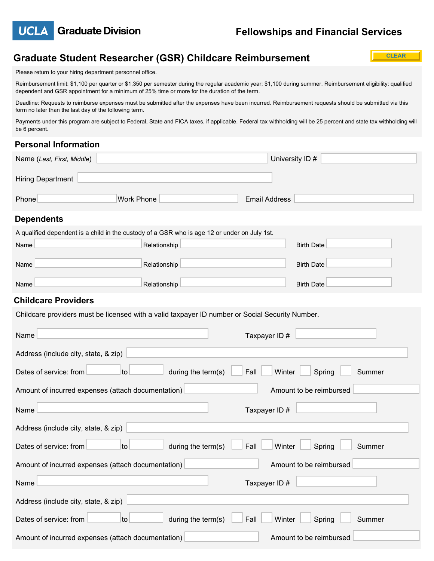

**CLEAR**

# **Graduate Student Researcher (GSR) Childcare Reimbursement**

Please return to your hiring department personnel office.

Reimbursement limit: \$1,100 per quarter or \$1,350 per semester during the regular academic year; \$1,100 during summer. Reimbursement eligibility: qualified dependent and GSR appointment for a minimum of 25% time or more for the duration of the term.

Deadline: Requests to reimburse expenses must be submitted after the expenses have been incurred. Reimbursement requests should be submitted via this form no later than the last day of the following term.

Payments under this program are subject to Federal, State and FICA taxes, if applicable. Federal tax withholding will be 25 percent and state tax withholding will be 6 percent.

## **Personal Information**

| Name (Last, First, Middle)                                                                      |                                                                                              | University ID #      |
|-------------------------------------------------------------------------------------------------|----------------------------------------------------------------------------------------------|----------------------|
| <b>Hiring Department</b>                                                                        |                                                                                              |                      |
| <b>Work Phone</b><br>Phone                                                                      |                                                                                              | <b>Email Address</b> |
| <b>Dependents</b>                                                                               |                                                                                              |                      |
|                                                                                                 | A qualified dependent is a child in the custody of a GSR who is age 12 or under on July 1st. |                      |
| Name                                                                                            | Relationship                                                                                 | <b>Birth Date</b>    |
| Name                                                                                            | Relationship                                                                                 | <b>Birth Date</b>    |
| Name                                                                                            | Relationship                                                                                 | <b>Birth Date</b>    |
| <b>Childcare Providers</b>                                                                      |                                                                                              |                      |
| Childcare providers must be licensed with a valid taxpayer ID number or Social Security Number. |                                                                                              |                      |
| Name                                                                                            | Taxpayer ID#                                                                                 |                      |

| Address (include city, state, & zip)                                                     |  |  |  |
|------------------------------------------------------------------------------------------|--|--|--|
| Dates of service: from<br>during the term(s)<br>Fall<br>Winter<br>to<br>Spring<br>Summer |  |  |  |
| Amount to be reimbursed<br>Amount of incurred expenses (attach documentation)            |  |  |  |
| Name<br>Taxpayer ID#                                                                     |  |  |  |
| Address (include city, state, & zip)                                                     |  |  |  |
| Dates of service: from<br>during the term(s)<br>Fall<br>to<br>Winter<br>Spring<br>Summer |  |  |  |
| Amount to be reimbursed<br>Amount of incurred expenses (attach documentation)            |  |  |  |
| Taxpayer ID#<br>Name                                                                     |  |  |  |
| Address (include city, state, & zip)                                                     |  |  |  |
| during the term(s)<br>Dates of service: from<br>to<br>Fall<br>Winter<br>Spring<br>Summer |  |  |  |
| Amount of incurred expenses (attach documentation)<br>Amount to be reimbursed            |  |  |  |